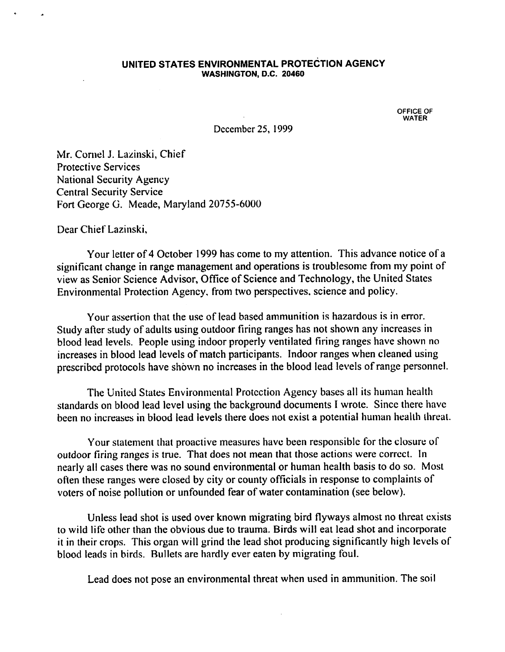### UNITED STATES ENVIRONMENTAL PROTECTION AGENCY WASHINGTON, D.C. 20460

OFFICE OF WATER

December 25, 1999

Mr. Cornel J. Lazinski, Chief Protective Services National Security Agency Central Security Service Fort George G. Meade, Maryland 20755-6000

Dear Chief Lazinski,

Your letter of 4 October 1999 has come to my attention. This advance notice of a significant change in range management and operations is troublesome from my point of view as Senior Science Advisor, Office of Science and Technology, the United States Environmental Protection Agency, from two perspectives, science and policy.

Your assertion that the use of lead based ammunition is hazardous is in error. Study after study of adults using outdoor firing ranges has not shown any increases in blood lead levels. People using indoor properly ventilated firing ranges have shown no increases in blood lead levels of match participants. Indoor ranges when cleaned using prescribed protocols have shown no increases in the blood lead levels of range personnel.

The United States Environmental Protection Agency bases all its human health standards on blood lead level using the background documents I wrote. Since there have been no increases in blood lead levels there does not exist a potential human health threat.

Your statement that proactive measures have been responsible for the closure of outdoor firing ranges is true. That does not mean that those actions were correct. In nearly all cases there was no sound environmental or human health basis to do so. Most often these ranges were closed by city or county officials in response to complaints of voters of noise pollution or unfounded fear of water contamination (see below).

Unless lead shot is used over known migrating bird flyways almost no threat exists to wild life other than the obvious due to trauma. Birds will eat lead shot and incorporate it in their crops. This organ will grind the lead shot producing significantly high levels of blood leads in birds. Bullets are hardly ever eaten by migrating foul.

Lead does not pose an environmental threat when used in ammunition. The soil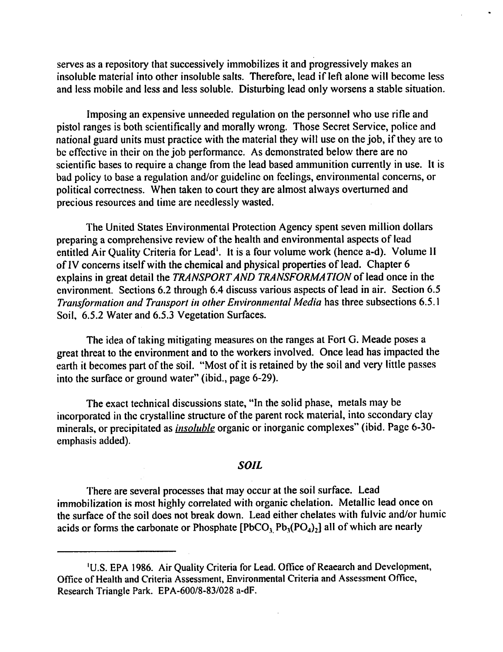serves as a repository that successively immobilizes it and progressively makes an insoluble material into other insoluble salts. Therefore, lead if left alone will become less and less mobile and less and less soluble. Disturbing lead only worsens a stable situation.

Imposing an expensive unneeded regulation on the personnel who use rifle and pistol ranges is both scientifically and morally wrong. Those Secret Service, police and national guard units must practice with the material they will use on the job, if they are to be effective in their on the job performance. As demonstrated below there are no scientific bases to require a change from the lead based ammunition currently in use. It is bad policy to base a regulation and/or guideline on feelings, environmental concerns, or political correctness. When taken to court they are almost always overturned and precious resources and time are needlessly wasted.

The United States Environmental Protection Agency spent seven million dollars preparing a comprehensive review of the health and environmental aspects of lead entitled Air Quality Criteria for Lead<sup>1</sup>. It is a four volume work (hence a-d). Volume II of IV concerns itself with the chemical and physical properties of lead. Chapter 6 explains in great detail the TRANSPORT AND TRANSFORMATION of lead once in the environment. Sections 6.2 through 6.4 discuss various aspects of lead in air. Section 6.5 Transformation and Transport in other Environmental Media has three subsections 6.5.1 Soil, 6.5.2 Water and 6.5.3 Vegetation Surfaces.

The idea of taking mitigating measures on the ranges at Fort G. Meade poses a great threat to the environment and to the workers involved. Once lead has impacted the earth it becomes part of the soil. "Most of it is retained by the soil and very little passes into the surface or ground water" (ibid., page 6-29).

The exact technical discussions state, "In the solid phase, metals may be incorporated in the crystalline structure of the parent rock material, into secondary clay minerals, or precipitated as *insoluble* organic or inorganic complexes" (ibid. Page 6-30emphasis added).

# SOIL

There are several processes that may occur at the soil surface. Lead immobilization is most highly correlated with organic chelation. Metallic lead once on the surface of the soil does not break down. Lead either chelates with fulvic and/or humic acids or forms the carbonate or Phosphate  $[PbCO, Pb<sub>1</sub>(PO<sub>4</sub>)<sub>2</sub>]$  all of which are nearly

<sup>&#</sup>x27;U.S. EPA 1986. Air Quality Criteria for Lead. Office of Reaearch and Development, Office of Health and Criteria Assessment, Environmental Criteria and Assessment Office, Research Triangle Park. EPA-600/8-83/028 a-dF.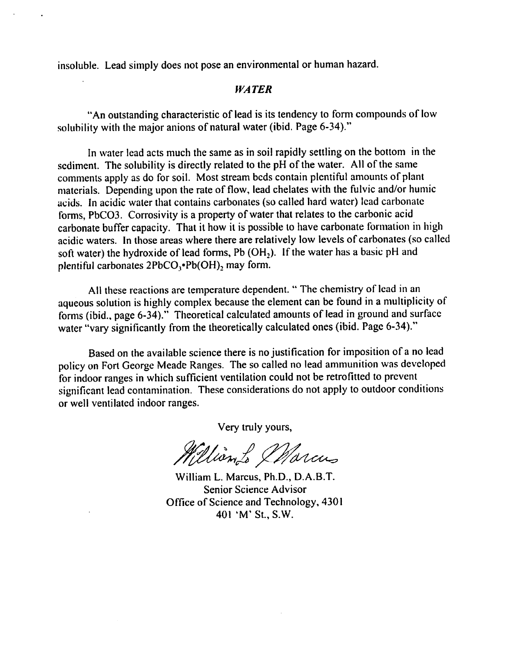insoluble. Lead simply does not pose an environmental or human hazard.

# **WATER**

"An outstanding characteristic of lead is its tendency to form compounds of low solubility with the major anions of natural water (ibid. Page 6-34)."

In water lead acts much the same as in soil rapidly settling on the bottom in the sediment. The solubility is directly related to the pH of the water. All of the same comments apply as do for soil. Most stream beds contain plentiful amounts of plant materials. Depending upon the rate of flow, lead chelates with the fulvic and/or humic acids. In acidic water that contains carbonates (so called hard water) lead carbonate forms, PbCO3. Corrosivity is a property of water that relates to the carbonic acid carbonate buffer capacity. That it how it is possible to have carbonate formation in high acidic waters. In those areas where there are relatively low levels of carbonates (so called soft water) the hydroxide of lead forms, Pb  $(OH<sub>2</sub>)$ . If the water has a basic pH and plentiful carbonates  $2PbCO<sub>3</sub>$  $Pb(OH)$ , may form.

All these reactions are temperature dependent. " The chemistry of lead in an aqueous solution is highly complex because the element can be found in a multiplicity of forms (ibid., page 6-34)." Theoretical calculated amounts of lead in ground and surface water "vary significantly from the theoretically calculated ones (ibid. Page 6-34)."

Based on the available science there is no justification for imposition of a no lead policy on Fort George Meade Ranges. The so called no lead ammunition was developed for indoor ranges in which sufficient ventilation could not be retrofitted to prevent significant lead contamination. These considerations do not apply to outdoor conditions or well ventilated indoor ranges.

Very truly yours,

William to Marcus

William L. Marcus, Ph.D., D.A.B.T. Senior Science Advisor Office of Science and Technology, 4301 401 'M' St., S.W.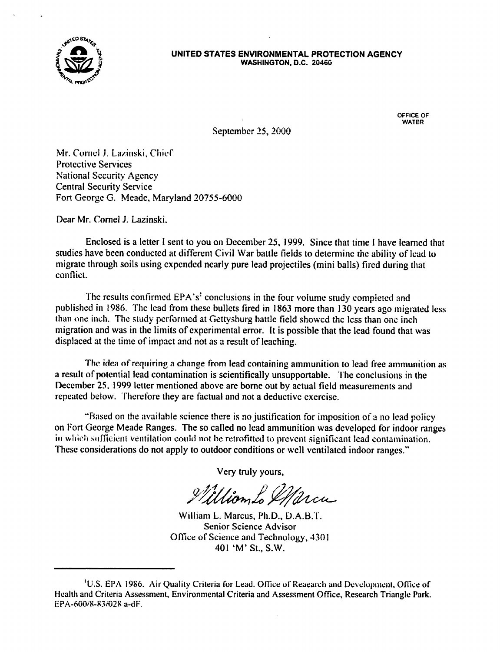

#### UNITED STATES ENVIRONMENTAL PROTECTION AGENCY WASHINGTON, D.C. 2046G

OFFICE OF WATER

September 25,2000

Mr. Cornel J. Lazinski, Chief Protective Services National Security Agency Central Security Service Fort George G. Meade, Maryland 20755-6000

Dear Mr. Cornel J. Lazinski.

Enclosed is a letter I sent to you on December 25, 1999. Since that time I have learned that studies have been conducted at different Civil War battle fields to determine the ability of lead to migrate through soils using expended nearly pure lead projectiles (mini balls) fired during that conflict.

The results confirmed EPA's' conclusions in the four volume study completed and published in 1986. The lead from these bullets fired in 1863 more than 130 years ago migrated less than one inch. The study performed at Gettysburg battle field showed the less than one inch migration and was in the limits of experimental error. It is possible that the lead found that was displaced at the time of impact and not as a result of leaching.

The idea of requiring a change from lead containing ammunition to lead free ammunition as a result of potential lead contamination is scientifically unsupportable. The conclusions in the December 25, 1999 letter mentioned above are borne out by actual field measurements and repeated below. Therefore they are factual and not a deductive exercise.

"Based on the available science there is no justification for imposition of a no lead policy on Fort George Meade Ranges. The so called no lead ammunition was developed for indoor ranges in which sufficient ventilation could not be retrofitted to prevent significant lead contamination. These considerations do not apply to outdoor conditions or well ventilated indoor ranges."

Very truly yours,

William Lo IMarcu

William L. Marcus, Ph.D., D.A.B.T. Senior Science Advisor Office of Science and Technology, 4301 401 'M'St., S.W.

<sup>&</sup>lt;sup>1</sup>U.S. EPA 1986. Air Quality Criteria for Lead. Office of Reaearch and Development, Office of Health and Criteria Assessment, Environmental Criteria and Assessment Office, Research Triangle Park. EPA-600/8-83/028 a-dF.